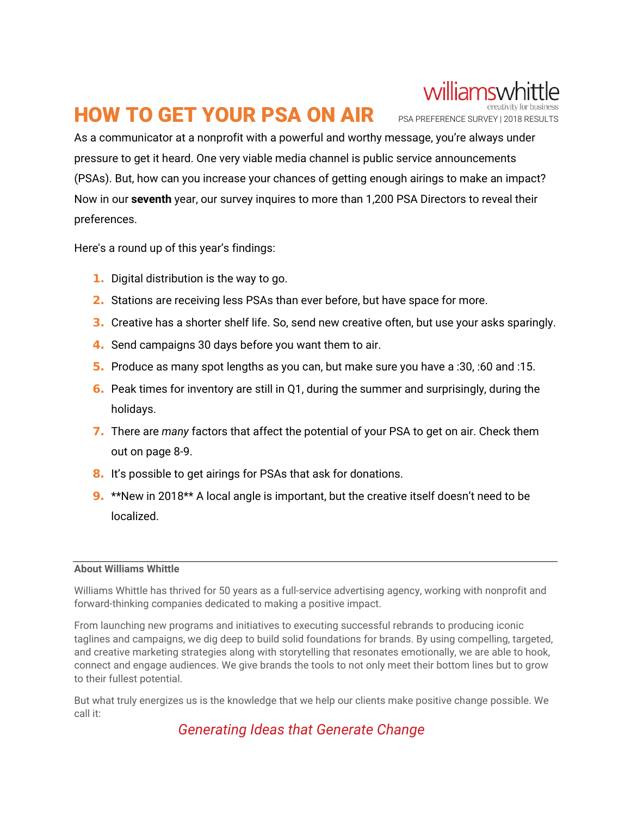# **HOW TO GET YOUR PSA ON AIR** PSA PREFERENCE SURVEY | 2018 RESULTS

williamswhit

As a communicator at a nonprofit with a powerful and worthy message, you're always under pressure to get it heard. One very viable media channel is public service announcements (PSAs). But, how can you increase your chances of getting enough airings to make an impact? Now in our **seventh** year, our survey inquires to more than 1,200 PSA Directors to reveal their preferences.

Here's a round up of this year's findings:

- 1. Digital distribution is the way to go.
- 2. Stations are receiving less PSAs than ever before, but have space for more.
- **3.** Creative has a shorter shelf life. So, send new creative often, but use your asks sparingly.
- 4. Send campaigns 30 days before you want them to air.
- 5. Produce as many spot lengths as you can, but make sure you have a :30, :60 and :15.
- 6. Peak times for inventory are still in Q1, during the summer and surprisingly, during the holidays.
- 7. There are *many* factors that affect the potential of your PSA to get on air. Check them out on page 8-9.
- 8. It's possible to get airings for PSAs that ask for donations.
- 9. \*\*New in 2018\*\* A local angle is important, but the creative itself doesn't need to be localized.

# **About Williams Whittle**

Williams Whittle has thrived for 50 years as a full-service advertising agency, working with nonprofit and forward-thinking companies dedicated to making a positive impact.

From launching new programs and initiatives to executing successful rebrands to producing iconic taglines and campaigns, we dig deep to build solid foundations for brands. By using compelling, targeted, and creative marketing strategies along with storytelling that resonates emotionally, we are able to hook, connect and engage audiences. We give brands the tools to not only meet their bottom lines but to grow to their fullest potential.

But what truly energizes us is the knowledge that we help our clients make positive change possible. We call it:

*Generating Ideas that Generate Change*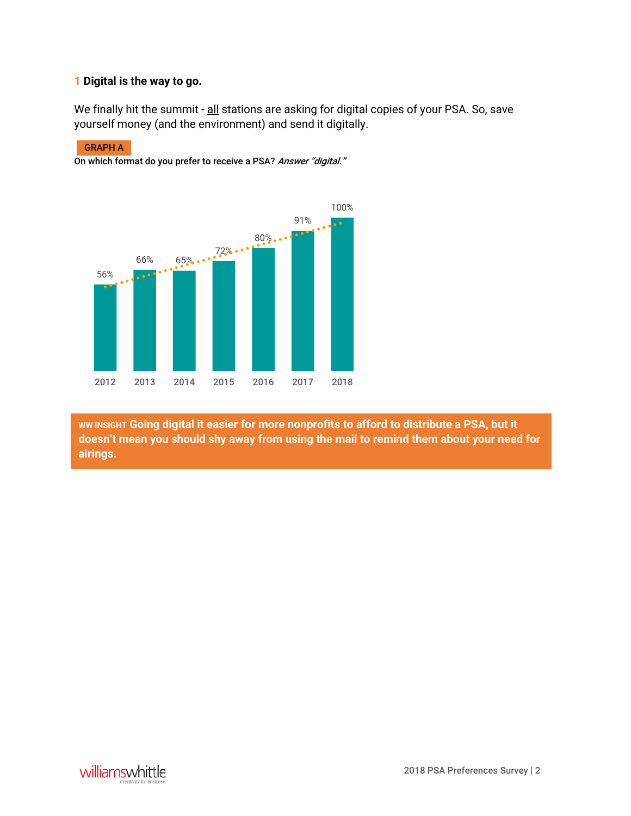# **1 Digital is the way to go.**

We finally hit the summit - all stations are asking for digital copies of your PSA. So, save yourself money (and the environment) and send it digitally.

### GRAPH A

On which format do you prefer to receive a PSA? Answer "digital."



**WW INSIGHT Going digital it easier for more nonprofits to afford to distribute a PSA, but it doesn't mean you should shy away from using the mail to remind them about your need for airings.**

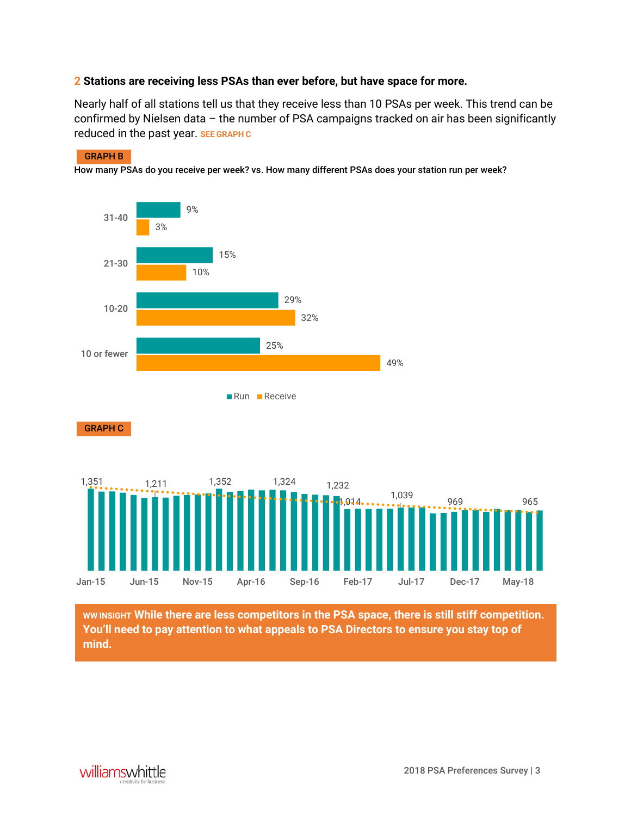# **2 Stations are receiving less PSAs than ever before, but have space for more.**

Nearly half of all stations tell us that they receive less than 10 PSAs per week. This trend can be confirmed by Nielsen data – the number of PSA campaigns tracked on air has been significantly reduced in the past year. **SEE GRAPH C**

### GRAPH B

How many PSAs do you receive per week? vs. How many different PSAs does your station run per week?



**WW INSIGHT While there are less competitors in the PSA space, there is still stiff competition. You'll need to pay attention to what appeals to PSA Directors to ensure you stay top of mind.**

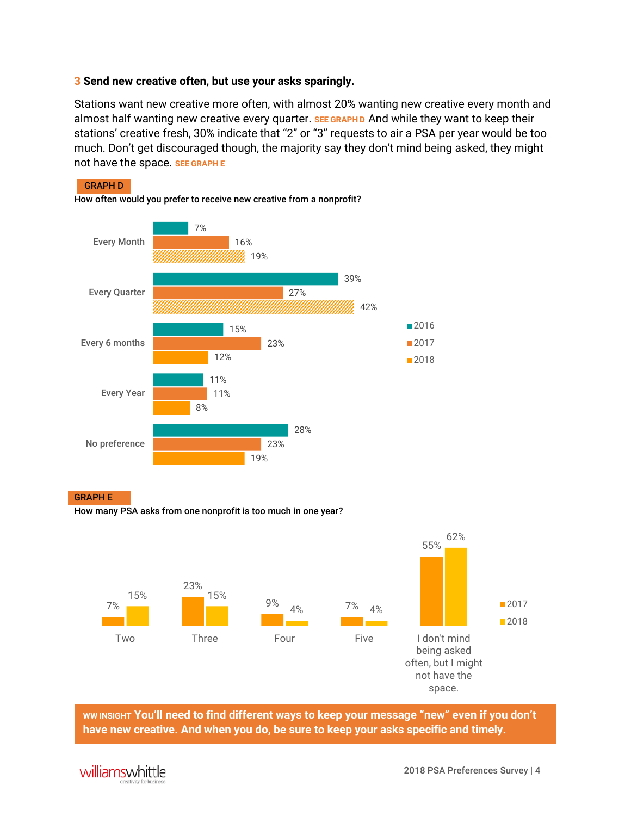# **3 Send new creative often, but use your asks sparingly.**

Stations want new creative more often, with almost 20% wanting new creative every month and almost half wanting new creative every quarter. **SEE GRAPH D** And while they want to keep their stations' creative fresh, 30% indicate that "2" or "3" requests to air a PSA per year would be too much. Don't get discouraged though, the majority say they don't mind being asked, they might not have the space. **SEE GRAPH E**



GRAPH E

How many PSA asks from one nonprofit is too much in one year?



**WW INSIGHT You'll need to find different ways to keep your message "new" even if you don't have new creative. And when you do, be sure to keep your asks specific and timely.**

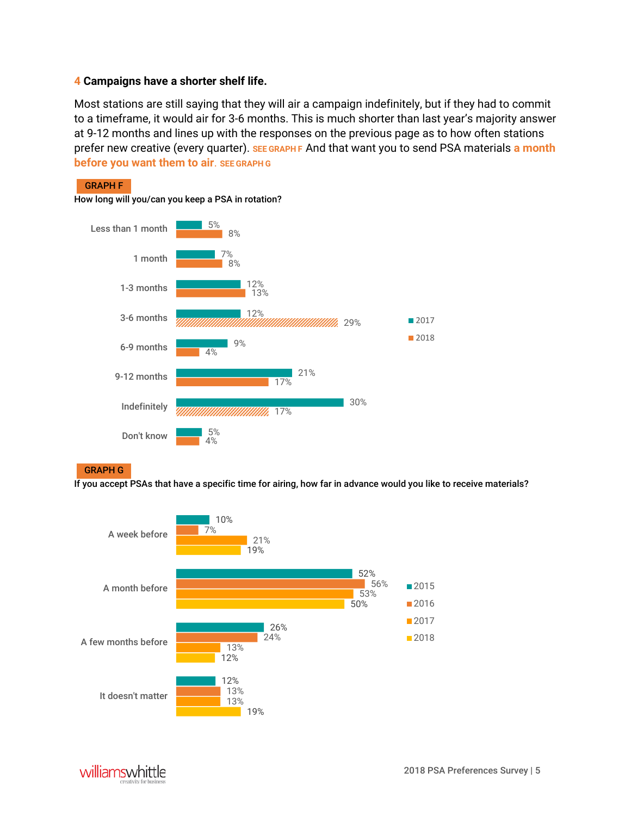# **4 Campaigns have a shorter shelf life.**

Most stations are still saying that they will air a campaign indefinitely, but if they had to commit to a timeframe, it would air for 3-6 months. This is much shorter than last year's majority answer at 9-12 months and lines up with the responses on the previous page as to how often stations prefer new creative (every quarter). **SEE GRAPH F** And that want you to send PSA materials **a month before you want them to air**. **SEE GRAPH G**

### How long will you/can you keep a PSA in rotation? 5% 7% 12% 12% 8% 8% 13% ///////////////////////////////<br>29% Less than 1 month 1 month 1-3 months 3-6 months



### GRAPH G

GRAPH F

If you accept PSAs that have a specific time for airing, how far in advance would you like to receive materials?



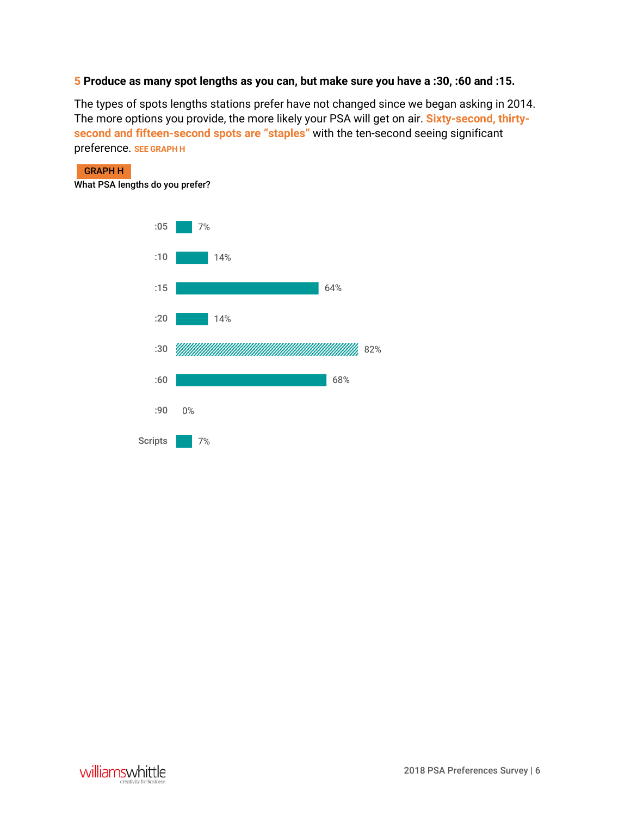# **5 Produce as many spot lengths as you can, but make sure you have a :30, :60 and :15.**

The types of spots lengths stations prefer have not changed since we began asking in 2014. The more options you provide, the more likely your PSA will get on air. **Sixty-second, thirtysecond and fifteen-second spots are "staples"** with the ten-second seeing significant preference. **SEE GRAPH H**

GRAPH H

What PSA lengths do you prefer?



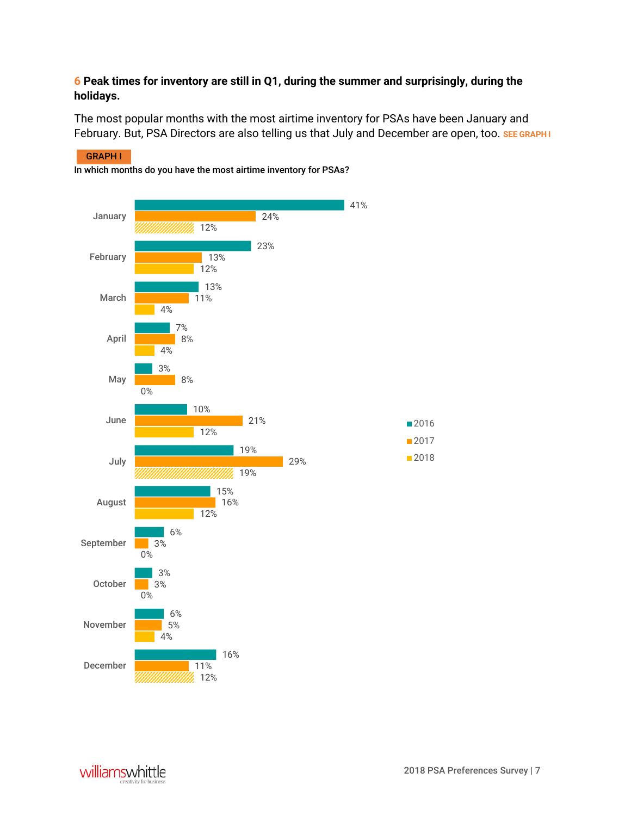# **6 Peak times for inventory are still in Q1, during the summer and surprisingly, during the holidays.**

The most popular months with the most airtime inventory for PSAs have been January and February. But, PSA Directors are also telling us that July and December are open, too. **SEE GRAPH I**

#### 12% 4% 0% 0% 12% 19% 12% 0% 4% 4% 12% 12% 11% 5% 3% 3% 16% 29% 21% 8% 8% 11% 13% 24% 16% 6% 3% 6% 15% 19% 10% 3% 7% 13% 23% 41% December November October September August July June May April March February January ■2016 ■2017 ■2018

GRAPH I

In which months do you have the most airtime inventory for PSAs?

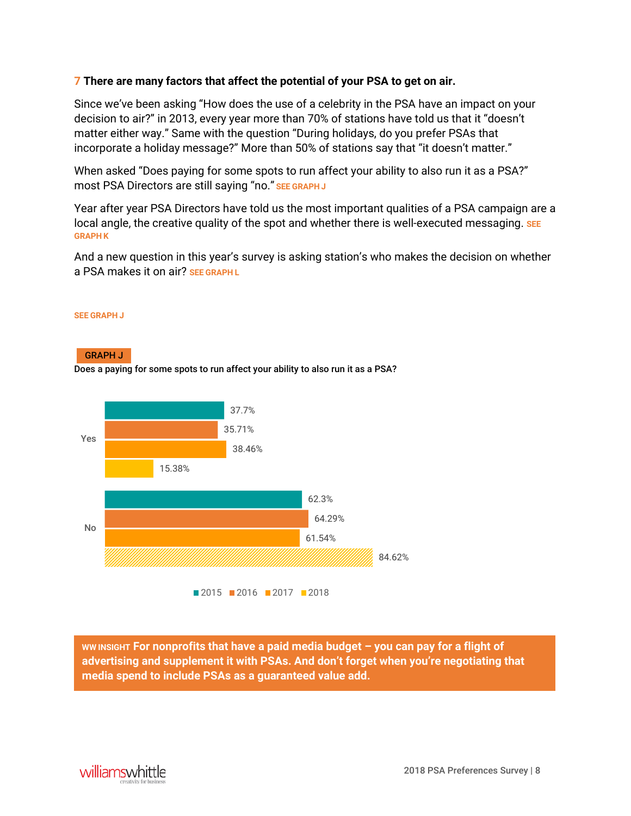# **7 There are many factors that affect the potential of your PSA to get on air.**

Since we've been asking "How does the use of a celebrity in the PSA have an impact on your decision to air?" in 2013, every year more than 70% of stations have told us that it "doesn't matter either way." Same with the question "During holidays, do you prefer PSAs that incorporate a holiday message?" More than 50% of stations say that "it doesn't matter."

When asked "Does paying for some spots to run affect your ability to also run it as a PSA?" most PSA Directors are still saying "no." **SEE GRAPH J**

Year after year PSA Directors have told us the most important qualities of a PSA campaign are a local angle, the creative quality of the spot and whether there is well-executed messaging. **SEE GRAPH K**

And a new question in this year's survey is asking station's who makes the decision on whether a PSA makes it on air? **SEE GRAPH L**

### **SEE GRAPH J**

### GRAPH J

Does a paying for some spots to run affect your ability to also run it as a PSA?



**WW INSIGHT For nonprofits that have a paid media budget – you can pay for a flight of advertising and supplement it with PSAs. And don't forget when you're negotiating that media spend to include PSAs as a guaranteed value add.**

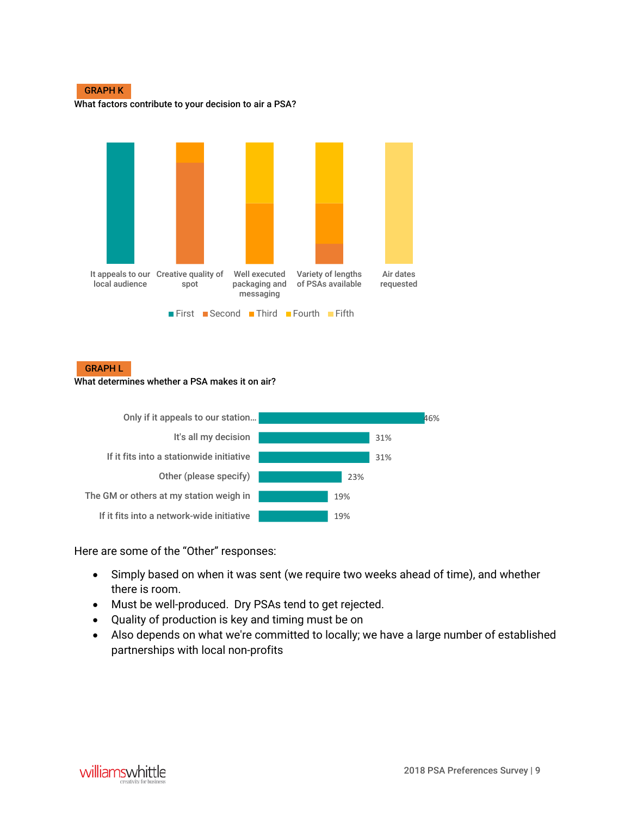

What factors contribute to your decision to air a PSA?



### GRAPH L

### What determines whether a PSA makes it on air?



Here are some of the "Other" responses:

- Simply based on when it was sent (we require two weeks ahead of time), and whether there is room.
- Must be well-produced. Dry PSAs tend to get rejected.
- Quality of production is key and timing must be on
- Also depends on what we're committed to locally; we have a large number of established partnerships with local non-profits

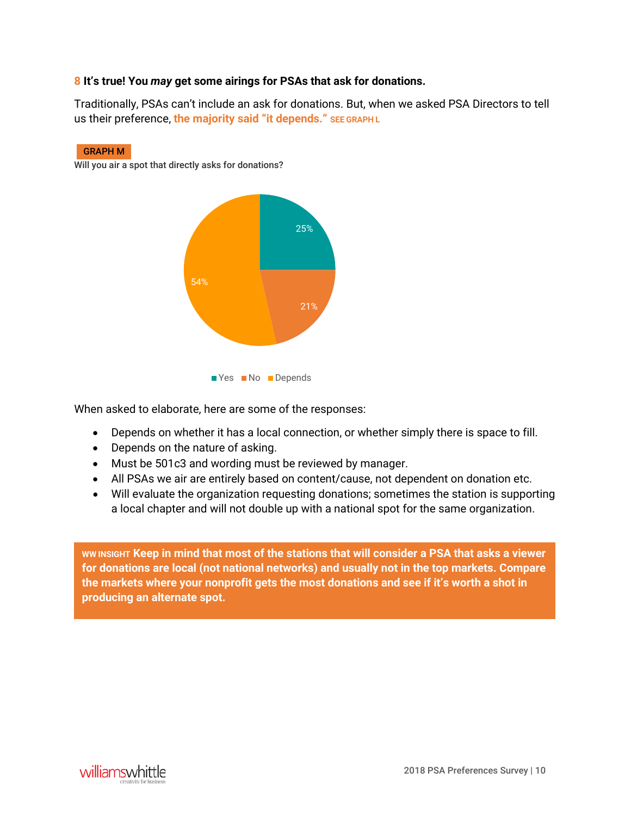# **8 It's true! You** *may* **get some airings for PSAs that ask for donations.**

Traditionally, PSAs can't include an ask for donations. But, when we asked PSA Directors to tell us their preference, **the majority said "it depends." SEE GRAPH L**

### GRAPH M

Will you air a spot that directly asks for donations?





When asked to elaborate, here are some of the responses:

- Depends on whether it has a local connection, or whether simply there is space to fill.
- Depends on the nature of asking.
- Must be 501c3 and wording must be reviewed by manager.
- All PSAs we air are entirely based on content/cause, not dependent on donation etc.
- Will evaluate the organization requesting donations; sometimes the station is supporting a local chapter and will not double up with a national spot for the same organization.

**WW INSIGHT Keep in mind that most of the stations that will consider a PSA that asks a viewer for donations are local (not national networks) and usually not in the top markets. Compare the markets where your nonprofit gets the most donations and see if it's worth a shot in producing an alternate spot.**